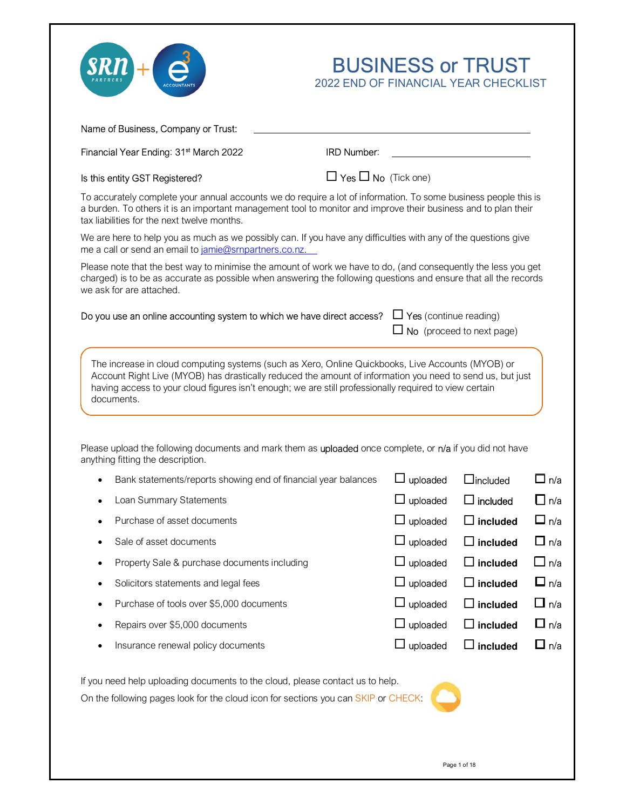



| Financial Year Ending: 31 <sup>st</sup> March 2022                                                                                                                                                                                                                                                                       | <b>IRD Number:</b>              |                               |                                                                 |                                                             |
|--------------------------------------------------------------------------------------------------------------------------------------------------------------------------------------------------------------------------------------------------------------------------------------------------------------------------|---------------------------------|-------------------------------|-----------------------------------------------------------------|-------------------------------------------------------------|
| Is this entity GST Registered?                                                                                                                                                                                                                                                                                           | $\Box$ Yes $\Box$ No (Tick one) |                               |                                                                 |                                                             |
| To accurately complete your annual accounts we do require a lot of information. To some business people this is<br>a burden. To others it is an important management tool to monitor and improve their business and to plan their<br>tax liabilities for the next twelve months.                                         |                                 |                               |                                                                 |                                                             |
| We are here to help you as much as we possibly can. If you have any difficulties with any of the questions give<br>me a call or send an email to jamie@srnpartners.co.nz.                                                                                                                                                |                                 |                               |                                                                 |                                                             |
| Please note that the best way to minimise the amount of work we have to do, (and consequently the less you get<br>charged) is to be as accurate as possible when answering the following questions and ensure that all the records<br>we ask for are attached.                                                           |                                 |                               |                                                                 |                                                             |
| Do you use an online accounting system to which we have direct access?                                                                                                                                                                                                                                                   |                                 | $\Box$ Yes (continue reading) | No (proceed to next page)                                       |                                                             |
| The increase in cloud computing systems (such as Xero, Online Quickbooks, Live Accounts (MYOB) or<br>Account Right Live (MYOB) has drastically reduced the amount of information you need to send us, but just<br>having access to your cloud figures isn't enough; we are still professionally required to view certain |                                 |                               |                                                                 |                                                             |
| documents.<br>Please upload the following documents and mark them as uploaded once complete, or n/a if you did not have                                                                                                                                                                                                  |                                 |                               |                                                                 |                                                             |
| anything fitting the description.                                                                                                                                                                                                                                                                                        |                                 |                               |                                                                 |                                                             |
| Bank statements/reports showing end of financial year balances                                                                                                                                                                                                                                                           |                                 | uploaded                      | $\Box$ included                                                 |                                                             |
| Loan Summary Statements                                                                                                                                                                                                                                                                                                  |                                 | uploaded                      | $\Box$ included                                                 |                                                             |
| Purchase of asset documents                                                                                                                                                                                                                                                                                              |                                 | uploaded                      | $\Box$ included                                                 |                                                             |
| Sale of asset documents                                                                                                                                                                                                                                                                                                  |                                 | uploaded                      | $\Box$ included                                                 | $\square$ n/a<br>$\Box$ n/a<br>$\square$ n/a<br>$\Box$ n/a  |
| Property Sale & purchase documents including                                                                                                                                                                                                                                                                             |                                 | uploaded                      | $\square$ included                                              |                                                             |
| Solicitors statements and legal fees                                                                                                                                                                                                                                                                                     |                                 | uploaded                      | $\sqsupset$ included                                            |                                                             |
| Purchase of tools over \$5,000 documents                                                                                                                                                                                                                                                                                 |                                 | uploaded                      | $\exists$ included                                              |                                                             |
| Repairs over \$5,000 documents<br>Insurance renewal policy documents                                                                                                                                                                                                                                                     |                                 | uploaded<br>uploaded          | $\exists$ included<br>$\mathsf{\overline{\mathsf{I}}}$ included | $\Box$ n/a<br>□ n/a<br>$\Box$ n/a<br>∐ n/a<br>$\square$ n/a |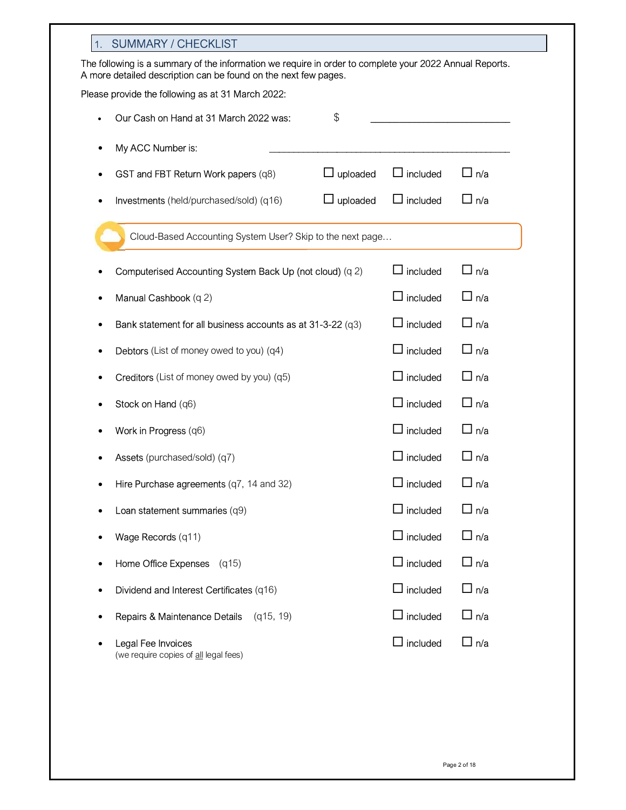| 1. | <b>SUMMARY / CHECKLIST</b>                                                                                                                                                 |                 |                 |               |
|----|----------------------------------------------------------------------------------------------------------------------------------------------------------------------------|-----------------|-----------------|---------------|
|    | The following is a summary of the information we require in order to complete your 2022 Annual Reports.<br>A more detailed description can be found on the next few pages. |                 |                 |               |
|    | Please provide the following as at 31 March 2022:                                                                                                                          |                 |                 |               |
|    | Our Cash on Hand at 31 March 2022 was:                                                                                                                                     | $\$\$           |                 |               |
| ٠  | My ACC Number is:                                                                                                                                                          |                 |                 |               |
| ٠  | GST and FBT Return Work papers (q8)                                                                                                                                        | $\Box$ uploaded | $\Box$ included | $\Box$ n/a    |
| ٠  | Investments (held/purchased/sold) (q16)                                                                                                                                    | uploaded        | $\Box$ included | $\Box$ n/a    |
|    | Cloud-Based Accounting System User? Skip to the next page                                                                                                                  |                 |                 |               |
|    | Computerised Accounting System Back Up (not cloud) (q 2)                                                                                                                   |                 | included        | $\Box$ n/a    |
| ٠  | Manual Cashbook (q 2)                                                                                                                                                      |                 | $\Box$ included | $\Box$ n/a    |
| ٠  | Bank statement for all business accounts as at 31-3-22 (q3)                                                                                                                |                 | included<br>ப   | $\square$ n/a |
| ٠  | Debtors (List of money owed to you) (q4)                                                                                                                                   |                 | $\Box$ included | $\Box$ n/a    |
|    | Creditors (List of money owed by you) (q5)                                                                                                                                 |                 | $\Box$ included | $\Box$ n/a    |
|    | Stock on Hand (q6)                                                                                                                                                         |                 | $\Box$ included | $\Box$ n/a    |
|    | Work in Progress (q6)                                                                                                                                                      |                 | $\Box$ included | $\Box$ n/a    |
|    | Assets (purchased/sold) (q7)                                                                                                                                               |                 | $\Box$ included | $\square$ n/a |
|    | Hire Purchase agreements (q7, 14 and 32)                                                                                                                                   |                 | included        | n/a           |
|    | Loan statement summaries (q9)                                                                                                                                              |                 | $\Box$ included | $\Box$ n/a    |
|    | Wage Records (q11)                                                                                                                                                         |                 | $\Box$ included | □ n/a         |
| ٠  | Home Office Expenses (q15)                                                                                                                                                 |                 | $\Box$ included | ∐ n/a         |
| ٠  | Dividend and Interest Certificates (q16)                                                                                                                                   |                 | $\Box$ included | $\Box$ n/a    |
|    | Repairs & Maintenance Details (q15, 19)                                                                                                                                    |                 | $\Box$ included | $\Box$ n/a    |
|    | Legal Fee Invoices<br>(we require copies of all legal fees)                                                                                                                |                 | $\Box$ included | ∐ n/a         |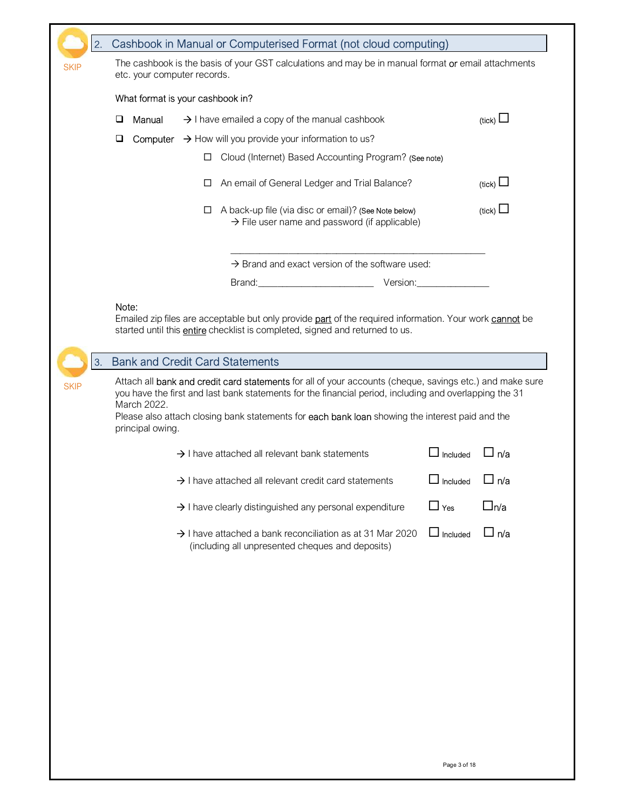| ⊔<br>⊔<br>Note:<br>3.<br>March 2022.<br>principal owing. | What format is your cashbook in?<br>Manual | □<br>□<br>□ | $\rightarrow$ I have emailed a copy of the manual cashbook<br><b>Computer</b> $\rightarrow$ How will you provide your information to us?<br>Cloud (Internet) Based Accounting Program? (See note)<br>An email of General Ledger and Trial Balance?<br>A back-up file (via disc or email)? (See Note below)<br>Emailed zip files are acceptable but only provide <b>part</b> of the required information. Your work <b>cannot</b> be<br>started until this <b>entire</b> checklist is completed, signed and returned to us.<br><b>Bank and Credit Card Statements</b><br>Attach all bank and credit card statements for all of your accounts (cheque, savings etc.) and make sure | $\rightarrow$ File user name and password (if applicable)<br>$\rightarrow$ Brand and exact version of the software used:<br>Brand: Executive Contract of the Contract of the Contract of the Contract of the Contract of the Contract of the Contract of the Contract of the Contract of the Contract of the Contract of the Contract of the Contract of t | Version: |                 | (tick) $\Box$<br>(tick) $\Box$<br>(tick) $\Box$ |
|----------------------------------------------------------|--------------------------------------------|-------------|----------------------------------------------------------------------------------------------------------------------------------------------------------------------------------------------------------------------------------------------------------------------------------------------------------------------------------------------------------------------------------------------------------------------------------------------------------------------------------------------------------------------------------------------------------------------------------------------------------------------------------------------------------------------------------|------------------------------------------------------------------------------------------------------------------------------------------------------------------------------------------------------------------------------------------------------------------------------------------------------------------------------------------------------------|----------|-----------------|-------------------------------------------------|
|                                                          |                                            |             |                                                                                                                                                                                                                                                                                                                                                                                                                                                                                                                                                                                                                                                                                  |                                                                                                                                                                                                                                                                                                                                                            |          |                 |                                                 |
|                                                          |                                            |             |                                                                                                                                                                                                                                                                                                                                                                                                                                                                                                                                                                                                                                                                                  |                                                                                                                                                                                                                                                                                                                                                            |          |                 |                                                 |
|                                                          |                                            |             |                                                                                                                                                                                                                                                                                                                                                                                                                                                                                                                                                                                                                                                                                  |                                                                                                                                                                                                                                                                                                                                                            |          |                 |                                                 |
|                                                          |                                            |             |                                                                                                                                                                                                                                                                                                                                                                                                                                                                                                                                                                                                                                                                                  |                                                                                                                                                                                                                                                                                                                                                            |          |                 |                                                 |
|                                                          |                                            |             |                                                                                                                                                                                                                                                                                                                                                                                                                                                                                                                                                                                                                                                                                  |                                                                                                                                                                                                                                                                                                                                                            |          |                 |                                                 |
|                                                          |                                            |             |                                                                                                                                                                                                                                                                                                                                                                                                                                                                                                                                                                                                                                                                                  |                                                                                                                                                                                                                                                                                                                                                            |          |                 |                                                 |
|                                                          |                                            |             |                                                                                                                                                                                                                                                                                                                                                                                                                                                                                                                                                                                                                                                                                  |                                                                                                                                                                                                                                                                                                                                                            |          |                 |                                                 |
|                                                          |                                            |             |                                                                                                                                                                                                                                                                                                                                                                                                                                                                                                                                                                                                                                                                                  |                                                                                                                                                                                                                                                                                                                                                            |          |                 |                                                 |
|                                                          |                                            |             | Please also attach closing bank statements for each bank loan showing the interest paid and the                                                                                                                                                                                                                                                                                                                                                                                                                                                                                                                                                                                  | you have the first and last bank statements for the financial period, including and overlapping the 31                                                                                                                                                                                                                                                     |          |                 |                                                 |
|                                                          |                                            |             |                                                                                                                                                                                                                                                                                                                                                                                                                                                                                                                                                                                                                                                                                  |                                                                                                                                                                                                                                                                                                                                                            |          |                 |                                                 |
|                                                          |                                            |             | $\rightarrow$ I have attached all relevant bank statements                                                                                                                                                                                                                                                                                                                                                                                                                                                                                                                                                                                                                       |                                                                                                                                                                                                                                                                                                                                                            |          | $\Box$ Included | $\Box$ n/a                                      |
|                                                          |                                            |             | $\rightarrow$ I have attached all relevant credit card statements                                                                                                                                                                                                                                                                                                                                                                                                                                                                                                                                                                                                                |                                                                                                                                                                                                                                                                                                                                                            |          | Included        | $\square$ n/a                                   |
|                                                          |                                            |             | $\rightarrow$ I have clearly distinguished any personal expenditure                                                                                                                                                                                                                                                                                                                                                                                                                                                                                                                                                                                                              |                                                                                                                                                                                                                                                                                                                                                            |          | $\Box$ Yes      | ⊡n/a                                            |
|                                                          |                                            |             | $\rightarrow$ I have attached a bank reconciliation as at 31 Mar 2020<br>(including all unpresented cheques and deposits)                                                                                                                                                                                                                                                                                                                                                                                                                                                                                                                                                        |                                                                                                                                                                                                                                                                                                                                                            |          | $\Box$ Included | $\Box$ n/a                                      |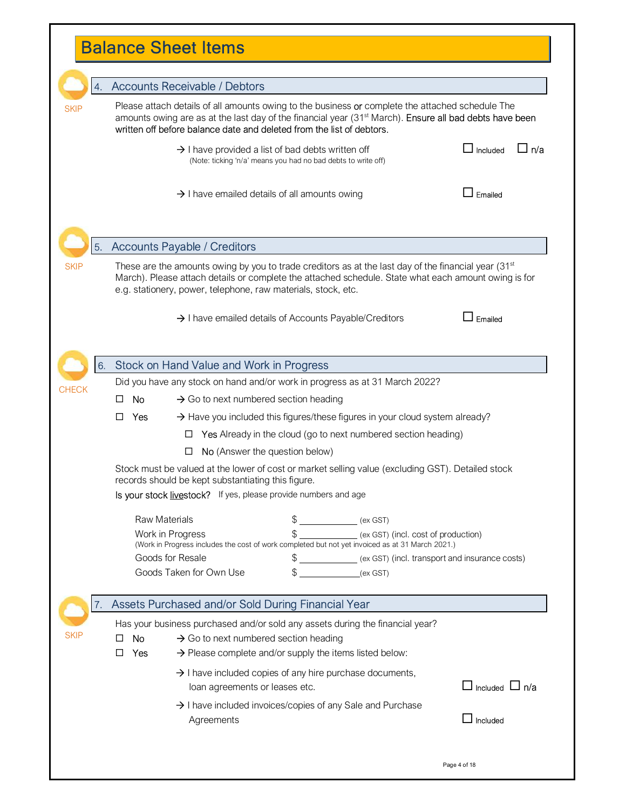# Balance Sheet Items

 $\mathsf{I}$ 

|                | 4.                   | <b>Accounts Receivable / Debtors</b>               |                                                                                                                                                                                                                                                                                                  |                                |
|----------------|----------------------|----------------------------------------------------|--------------------------------------------------------------------------------------------------------------------------------------------------------------------------------------------------------------------------------------------------------------------------------------------------|--------------------------------|
| <b>SKIP</b>    |                      |                                                    | Please attach details of all amounts owing to the business or complete the attached schedule The<br>amounts owing are as at the last day of the financial year (31 <sup>st</sup> March). Ensure all bad debts have been<br>written off before balance date and deleted from the list of debtors. |                                |
|                |                      |                                                    | $\rightarrow$ I have provided a list of bad debts written off<br>(Note: ticking 'n/a' means you had no bad debts to write off)                                                                                                                                                                   | $\sqcup$ Included<br>∐ n/a     |
|                |                      |                                                    | $\rightarrow$ I have emailed details of all amounts owing                                                                                                                                                                                                                                        | $\mathrel{\mathsf{I}}$ Emailed |
| 5 <sub>1</sub> |                      | <b>Accounts Payable / Creditors</b>                |                                                                                                                                                                                                                                                                                                  |                                |
| <b>SKIP</b>    |                      |                                                    | These are the amounts owing by you to trade creditors as at the last day of the financial year $(31^{st}$<br>March). Please attach details or complete the attached schedule. State what each amount owing is for<br>e.g. stationery, power, telephone, raw materials, stock, etc.               |                                |
|                |                      |                                                    | $\rightarrow$ I have emailed details of Accounts Payable/Creditors                                                                                                                                                                                                                               | $\exists$ Emailed              |
| 6.             |                      | Stock on Hand Value and Work in Progress           |                                                                                                                                                                                                                                                                                                  |                                |
| <b>CHECK</b>   |                      |                                                    | Did you have any stock on hand and/or work in progress as at 31 March 2022?                                                                                                                                                                                                                      |                                |
|                | No<br>□              | $\rightarrow$ Go to next numbered section heading  |                                                                                                                                                                                                                                                                                                  |                                |
|                | □<br><b>Yes</b>      |                                                    | $\rightarrow$ Have you included this figures/these figures in your cloud system already?                                                                                                                                                                                                         |                                |
|                |                      | □                                                  | Yes Already in the cloud (go to next numbered section heading)                                                                                                                                                                                                                                   |                                |
|                |                      | ப                                                  | No (Answer the question below)                                                                                                                                                                                                                                                                   |                                |
|                |                      | records should be kept substantiating this figure. | Stock must be valued at the lower of cost or market selling value (excluding GST). Detailed stock                                                                                                                                                                                                |                                |
|                |                      |                                                    | Is your stock livestock? If yes, please provide numbers and age                                                                                                                                                                                                                                  |                                |
|                | <b>Raw Materials</b> |                                                    | $\mathbb S$<br>(ex GST)                                                                                                                                                                                                                                                                          |                                |
|                |                      |                                                    | \$<br>(ex GST) (incl. cost of production)                                                                                                                                                                                                                                                        |                                |
|                | Work in Progress     |                                                    |                                                                                                                                                                                                                                                                                                  |                                |
|                |                      |                                                    | (Work in Progress includes the cost of work completed but not yet invoiced as at 31 March 2021.)                                                                                                                                                                                                 |                                |
|                |                      | Goods for Resale<br>Goods Taken for Own Use        | (ex GST) (incl. transport and insurance costs)<br>\$<br>(ex GST)                                                                                                                                                                                                                                 |                                |
| 7.             |                      |                                                    | Assets Purchased and/or Sold During Financial Year                                                                                                                                                                                                                                               |                                |
|                |                      |                                                    | Has your business purchased and/or sold any assets during the financial year?                                                                                                                                                                                                                    |                                |
| SKIP           | <b>No</b><br>ΙI      | $\rightarrow$ Go to next numbered section heading  |                                                                                                                                                                                                                                                                                                  |                                |
|                | Yes<br>⊔             |                                                    | $\rightarrow$ Please complete and/or supply the items listed below:                                                                                                                                                                                                                              |                                |
|                |                      | loan agreements or leases etc.                     | $\rightarrow$ I have included copies of any hire purchase documents,                                                                                                                                                                                                                             | $\Box$ Included $\Box$ n/a     |
|                |                      |                                                    | $\rightarrow$ I have included invoices/copies of any Sale and Purchase                                                                                                                                                                                                                           |                                |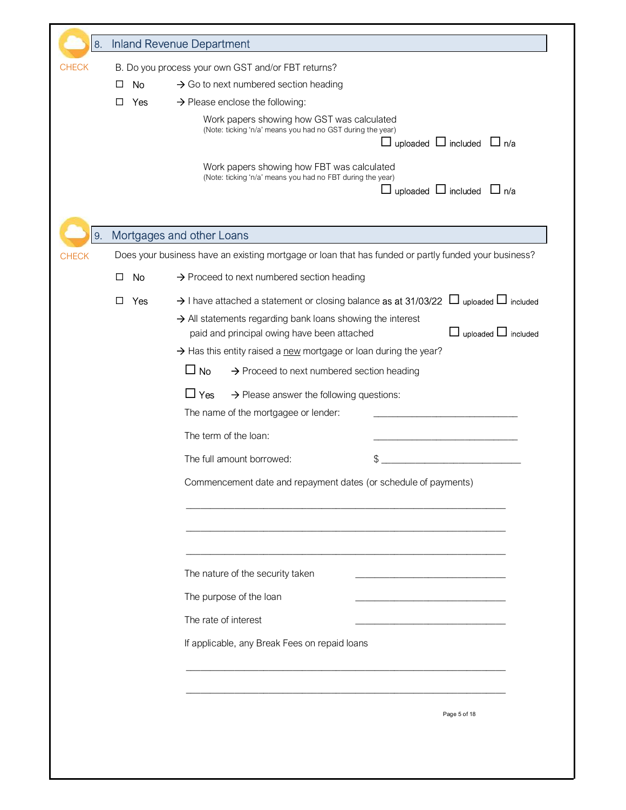| 8.           |               | <b>Inland Revenue Department</b>                                                                            |
|--------------|---------------|-------------------------------------------------------------------------------------------------------------|
| <b>CHECK</b> |               | B. Do you process your own GST and/or FBT returns?                                                          |
|              | No<br>⊔       | $\rightarrow$ Go to next numbered section heading                                                           |
|              | □<br>Yes      | $\rightarrow$ Please enclose the following:<br>Work papers showing how GST was calculated                   |
|              |               | (Note: ticking 'n/a' means you had no GST during the year)                                                  |
|              |               | $\Box$ uploaded $\Box$ included $\Box$ n/a                                                                  |
|              |               | Work papers showing how FBT was calculated<br>(Note: ticking 'n/a' means you had no FBT during the year)    |
|              |               | $\Box$ uploaded $\Box$ included $\Box$ n/a                                                                  |
|              |               |                                                                                                             |
| 9.           |               | Mortgages and other Loans                                                                                   |
| <b>CHECK</b> |               | Does your business have an existing mortgage or loan that has funded or partly funded your business?        |
|              | No<br>$\perp$ | $\rightarrow$ Proceed to next numbered section heading                                                      |
|              | Yes<br>□      | $\rightarrow$ I have attached a statement or closing balance as at 31/03/22 $\Box$ uploaded $\Box$ included |
|              |               | $\rightarrow$ All statements regarding bank loans showing the interest                                      |
|              |               | uploaded $\Box$ included<br>$\Box$<br>paid and principal owing have been attached                           |
|              |               | > Has this entity raised a new mortgage or loan during the year?<br>$\square$ No                            |
|              |               | $\rightarrow$ Proceed to next numbered section heading                                                      |
|              |               | $\Box$ Yes<br>$\rightarrow$ Please answer the following questions:                                          |
|              |               | The name of the mortgagee or lender:                                                                        |
|              |               | The term of the loan:                                                                                       |
|              |               | \$<br>The full amount borrowed:                                                                             |
|              |               | Commencement date and repayment dates (or schedule of payments)                                             |
|              |               |                                                                                                             |
|              |               |                                                                                                             |
|              |               |                                                                                                             |
|              |               | The nature of the security taken                                                                            |
|              |               | The purpose of the loan                                                                                     |
|              |               | The rate of interest                                                                                        |
|              |               | If applicable, any Break Fees on repaid loans                                                               |
|              |               |                                                                                                             |
|              |               |                                                                                                             |
|              |               |                                                                                                             |
|              |               | Page 5 of 18                                                                                                |
|              |               |                                                                                                             |
|              |               |                                                                                                             |
|              |               |                                                                                                             |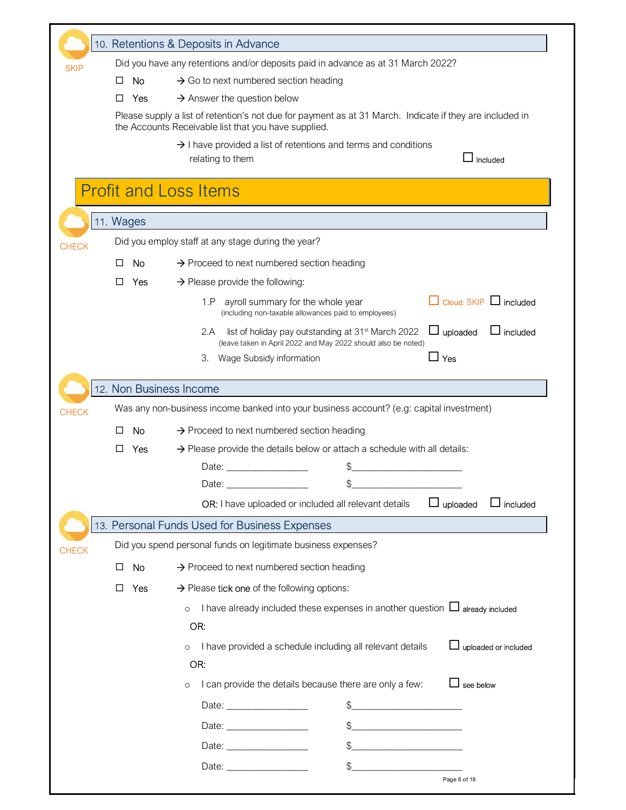|              |           | 10. Retentions & Deposits in Advance                                                                                                   |
|--------------|-----------|----------------------------------------------------------------------------------------------------------------------------------------|
|              |           | Did you have any retentions and/or deposits paid in advance as at 31 March 2022?                                                       |
| <b>SKIP</b>  | No.<br>ΙI | $\rightarrow$ Go to next numbered section heading                                                                                      |
|              | Yes<br>П  | $\rightarrow$ Answer the question below                                                                                                |
|              |           | Please supply a list of retention's not due for payment as at 31 March. Indicate if they are included in                               |
|              |           | the Accounts Receivable list that you have supplied.                                                                                   |
|              |           | $\rightarrow$ I have provided a list of retentions and terms and conditions<br>Included<br>relating to them                            |
|              |           | <b>Profit and Loss Items</b>                                                                                                           |
|              | 11. Wages |                                                                                                                                        |
| <b>CHECK</b> |           | Did you employ staff at any stage during the year?                                                                                     |
|              | No<br>ΙI  | $\rightarrow$ Proceed to next numbered section heading                                                                                 |
|              | П<br>Yes  | $\rightarrow$ Please provide the following:                                                                                            |
|              |           | $\Box$ Cloud: SKIP $\Box$ included<br>ayroll summary for the whole year<br>1.P<br>(including non-taxable allowances paid to employees) |
|              |           | $\Box$ uploaded<br>$\Box$ included<br>2.A<br>list of holiday pay outstanding at 31 <sup>st</sup> March 2022                            |
|              |           | (leave taken in April 2022 and May 2022 should also be noted)                                                                          |
|              |           | $\Box$ Yes<br>3.<br>Wage Subsidy information                                                                                           |
|              |           | 12. Non Business Income                                                                                                                |
| <b>CHECK</b> |           | Was any non-business income banked into your business account? (e.g: capital investment)                                               |
|              | No        | $\rightarrow$ Proceed to next numbered section heading                                                                                 |
|              | Yes<br>П  | $\rightarrow$ Please provide the details below or attach a schedule with all details:                                                  |
|              |           | Date: Date:                                                                                                                            |
|              |           | \$<br>Date:                                                                                                                            |
|              |           | OR: I have uploaded or included all relevant details<br>$\Box$ included<br>$\Box$ uploaded                                             |
|              |           |                                                                                                                                        |
|              |           |                                                                                                                                        |
|              |           | 13. Personal Funds Used for Business Expenses                                                                                          |
|              |           | Did you spend personal funds on legitimate business expenses?                                                                          |
|              | No<br>□   | $\rightarrow$ Proceed to next numbered section heading                                                                                 |
|              | □<br>Yes  | $\rightarrow$ Please tick one of the following options:                                                                                |
|              |           | I have already included these expenses in another question $\Box$ already included<br>$\circ$                                          |
|              |           | OR:                                                                                                                                    |
|              |           | uploaded or included<br>I have provided a schedule including all relevant details                                                      |
|              |           | OR:                                                                                                                                    |
|              |           | I can provide the details because there are only a few:<br>see below<br>$\circ$                                                        |
| <b>CHECK</b> |           | \$                                                                                                                                     |
|              |           |                                                                                                                                        |
|              |           | \$                                                                                                                                     |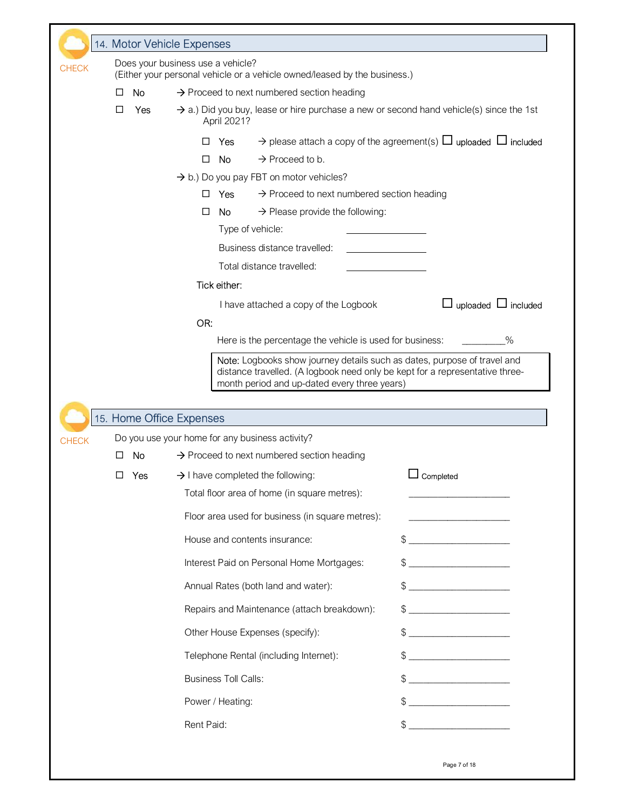|              |              | 14. Motor Vehicle Expenses |     |                                                                                                                                                                                                          |                                                                                                                                                                                                                                                                                                                                                                     |
|--------------|--------------|----------------------------|-----|----------------------------------------------------------------------------------------------------------------------------------------------------------------------------------------------------------|---------------------------------------------------------------------------------------------------------------------------------------------------------------------------------------------------------------------------------------------------------------------------------------------------------------------------------------------------------------------|
| <b>CHECK</b> |              |                            |     | Does your business use a vehicle?<br>(Either your personal vehicle or a vehicle owned/leased by the business.)                                                                                           |                                                                                                                                                                                                                                                                                                                                                                     |
|              | $\mathsf{L}$ | No                         |     | $\rightarrow$ Proceed to next numbered section heading                                                                                                                                                   |                                                                                                                                                                                                                                                                                                                                                                     |
|              | ⊔            | Yes                        |     | $\rightarrow$ a.) Did you buy, lease or hire purchase a new or second hand vehicle(s) since the 1st                                                                                                      |                                                                                                                                                                                                                                                                                                                                                                     |
|              |              |                            |     | April 2021?                                                                                                                                                                                              |                                                                                                                                                                                                                                                                                                                                                                     |
|              |              |                            |     | Yes                                                                                                                                                                                                      | $\rightarrow$ please attach a copy of the agreement(s) $\Box$ uploaded $\Box$ included                                                                                                                                                                                                                                                                              |
|              |              |                            | □   | $\rightarrow$ Proceed to b.<br><b>No</b>                                                                                                                                                                 |                                                                                                                                                                                                                                                                                                                                                                     |
|              |              |                            |     | $\rightarrow$ b.) Do you pay FBT on motor vehicles?                                                                                                                                                      |                                                                                                                                                                                                                                                                                                                                                                     |
|              |              |                            | □   | $\rightarrow$ Proceed to next numbered section heading<br><b>Yes</b>                                                                                                                                     |                                                                                                                                                                                                                                                                                                                                                                     |
|              |              |                            | □   | $\rightarrow$ Please provide the following:<br>No.<br>Type of vehicle:                                                                                                                                   |                                                                                                                                                                                                                                                                                                                                                                     |
|              |              |                            |     | Business distance travelled:                                                                                                                                                                             |                                                                                                                                                                                                                                                                                                                                                                     |
|              |              |                            |     | Total distance travelled:                                                                                                                                                                                |                                                                                                                                                                                                                                                                                                                                                                     |
|              |              |                            |     | Tick either:                                                                                                                                                                                             |                                                                                                                                                                                                                                                                                                                                                                     |
|              |              |                            |     | I have attached a copy of the Logbook                                                                                                                                                                    | $\Box$ uploaded $\Box$ included                                                                                                                                                                                                                                                                                                                                     |
|              |              |                            | OR: |                                                                                                                                                                                                          |                                                                                                                                                                                                                                                                                                                                                                     |
|              |              |                            |     | Here is the percentage the vehicle is used for business:                                                                                                                                                 | $\%$                                                                                                                                                                                                                                                                                                                                                                |
|              |              |                            |     |                                                                                                                                                                                                          |                                                                                                                                                                                                                                                                                                                                                                     |
|              |              |                            |     | Note: Logbooks show journey details such as dates, purpose of travel and<br>distance travelled. (A logbook need only be kept for a representative three-<br>month period and up-dated every three years) |                                                                                                                                                                                                                                                                                                                                                                     |
|              |              | 15. Home Office Expenses   |     |                                                                                                                                                                                                          |                                                                                                                                                                                                                                                                                                                                                                     |
|              |              |                            |     | Do you use your home for any business activity?                                                                                                                                                          |                                                                                                                                                                                                                                                                                                                                                                     |
|              | $\perp$      | No                         |     | $\rightarrow$ Proceed to next numbered section heading                                                                                                                                                   |                                                                                                                                                                                                                                                                                                                                                                     |
|              | □            | Yes                        |     | $\rightarrow$ I have completed the following:                                                                                                                                                            | ∟ Completed                                                                                                                                                                                                                                                                                                                                                         |
|              |              |                            |     | Total floor area of home (in square metres):                                                                                                                                                             |                                                                                                                                                                                                                                                                                                                                                                     |
|              |              |                            |     | Floor area used for business (in square metres):                                                                                                                                                         |                                                                                                                                                                                                                                                                                                                                                                     |
|              |              |                            |     | House and contents insurance:                                                                                                                                                                            | $\begin{picture}(20,10) \put(0,0){\vector(1,0){100}} \put(15,0){\vector(1,0){100}} \put(15,0){\vector(1,0){100}} \put(15,0){\vector(1,0){100}} \put(15,0){\vector(1,0){100}} \put(15,0){\vector(1,0){100}} \put(15,0){\vector(1,0){100}} \put(15,0){\vector(1,0){100}} \put(15,0){\vector(1,0){100}} \put(15,0){\vector(1,0){100}} \put(15,0){\vector(1,0){100}} \$ |
|              |              |                            |     | Interest Paid on Personal Home Mortgages:                                                                                                                                                                |                                                                                                                                                                                                                                                                                                                                                                     |
|              |              |                            |     | Annual Rates (both land and water):                                                                                                                                                                      |                                                                                                                                                                                                                                                                                                                                                                     |
|              |              |                            |     | Repairs and Maintenance (attach breakdown):                                                                                                                                                              |                                                                                                                                                                                                                                                                                                                                                                     |
|              |              |                            |     | Other House Expenses (specify):                                                                                                                                                                          | $\mathbb{S}$                                                                                                                                                                                                                                                                                                                                                        |
|              |              |                            |     | Telephone Rental (including Internet):                                                                                                                                                                   | $\frac{1}{2}$                                                                                                                                                                                                                                                                                                                                                       |
|              |              |                            |     | <b>Business Toll Calls:</b>                                                                                                                                                                              |                                                                                                                                                                                                                                                                                                                                                                     |
| <b>CHECK</b> |              |                            |     | Power / Heating:                                                                                                                                                                                         | $\mathbb{S}$                                                                                                                                                                                                                                                                                                                                                        |

Page 7 of 18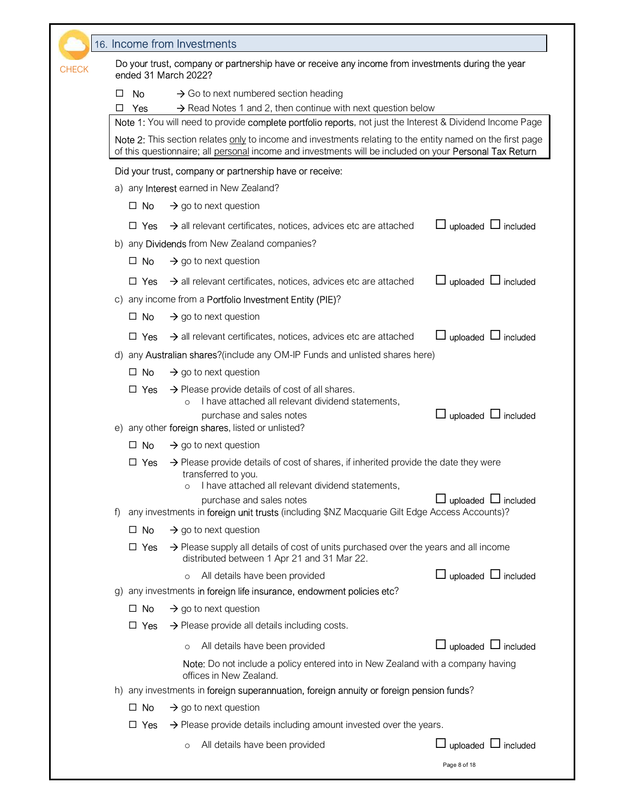|              |                     | 16. Income from Investments                                                                                                                                                                                                                |                                 |
|--------------|---------------------|--------------------------------------------------------------------------------------------------------------------------------------------------------------------------------------------------------------------------------------------|---------------------------------|
| <b>CHECK</b> |                     | Do your trust, company or partnership have or receive any income from investments during the year<br>ended 31 March 2022?                                                                                                                  |                                 |
|              | No<br>□<br>Yes<br>⊔ | $\rightarrow$ Go to next numbered section heading<br>$\rightarrow$ Read Notes 1 and 2, then continue with next question below<br>Note 1: You will need to provide complete portfolio reports, not just the Interest & Dividend Income Page |                                 |
|              |                     | Note 2: This section relates only to income and investments relating to the entity named on the first page<br>of this questionnaire; all personal income and investments will be included on your Personal Tax Return                      |                                 |
|              |                     | Did your trust, company or partnership have or receive:                                                                                                                                                                                    |                                 |
|              |                     | a) any <b>Interest</b> earned in New Zealand?                                                                                                                                                                                              |                                 |
|              | $\Box$ No           | $\rightarrow$ go to next question                                                                                                                                                                                                          |                                 |
|              | $\Box$ Yes          | $\rightarrow$ all relevant certificates, notices, advices etc are attached                                                                                                                                                                 | uploaded $\Box$ included        |
|              |                     | b) any <b>Dividends</b> from New Zealand companies?                                                                                                                                                                                        |                                 |
|              | $\Box$ No           | $\rightarrow$ go to next question                                                                                                                                                                                                          |                                 |
|              | $\Box$ Yes          | $\rightarrow$ all relevant certificates, notices, advices etc are attached                                                                                                                                                                 | uploaded $\Box$ included        |
|              |                     | c) any income from a Portfolio Investment Entity (PIE)?                                                                                                                                                                                    |                                 |
|              | $\Box$ No           | $\rightarrow$ go to next question                                                                                                                                                                                                          |                                 |
|              | $\Box$ Yes          | $\rightarrow$ all relevant certificates, notices, advices etc are attached                                                                                                                                                                 | uploaded L included             |
|              |                     | d) any <b>Australian shares</b> ?(include any OM-IP Funds and unlisted shares here)                                                                                                                                                        |                                 |
|              | $\Box$ No           | $\rightarrow$ go to next question                                                                                                                                                                                                          |                                 |
|              | $\Box$ Yes          | $\rightarrow$ Please provide details of cost of all shares.<br>I have attached all relevant dividend statements,<br>$\circ$<br>purchase and sales notes                                                                                    | uploaded $\Box$ included        |
|              |                     | e) any other foreign shares, listed or unlisted?                                                                                                                                                                                           |                                 |
|              | $\Box$ No           | $\rightarrow$ go to next question                                                                                                                                                                                                          |                                 |
|              | <b>Yes</b><br>ப     | $\rightarrow$ Please provide details of cost of shares, if inherited provide the date they were<br>transferred to you.<br>I have attached all relevant dividend statements,                                                                |                                 |
| $\uparrow$   |                     | purchase and sales notes<br>any investments in foreign unit trusts (including \$NZ Macquarie Gilt Edge Access Accounts)?                                                                                                                   | uploaded $\Box$ included        |
|              | $\Box$ No           | $\rightarrow$ go to next question                                                                                                                                                                                                          |                                 |
|              | □ Yes               | $\rightarrow$ Please supply all details of cost of units purchased over the years and all income<br>distributed between 1 Apr 21 and 31 Mar 22.                                                                                            |                                 |
|              |                     | All details have been provided                                                                                                                                                                                                             | $\Box$ uploaded $\Box$ included |
|              |                     | g) any investments in foreign life insurance, endowment policies etc?                                                                                                                                                                      |                                 |
|              | $\Box$ No           | $\rightarrow$ go to next question                                                                                                                                                                                                          |                                 |
|              | □ Yes               | $\rightarrow$ Please provide all details including costs.                                                                                                                                                                                  |                                 |
|              |                     | All details have been provided<br>$\circ$                                                                                                                                                                                                  | $\Box$ uploaded $\Box$ included |
|              |                     | Note: Do not include a policy entered into in New Zealand with a company having<br>offices in New Zealand.                                                                                                                                 |                                 |
|              |                     | h) any investments in foreign superannuation, foreign annuity or foreign pension funds?                                                                                                                                                    |                                 |
|              | $\Box$ No           | $\rightarrow$ go to next question                                                                                                                                                                                                          |                                 |
|              | □ Yes               | $\rightarrow$ Please provide details including amount invested over the years.                                                                                                                                                             |                                 |
|              |                     | All details have been provided<br>$\circ$                                                                                                                                                                                                  | $\Box$ uploaded $\Box$ included |
|              |                     |                                                                                                                                                                                                                                            | Page 8 of 18                    |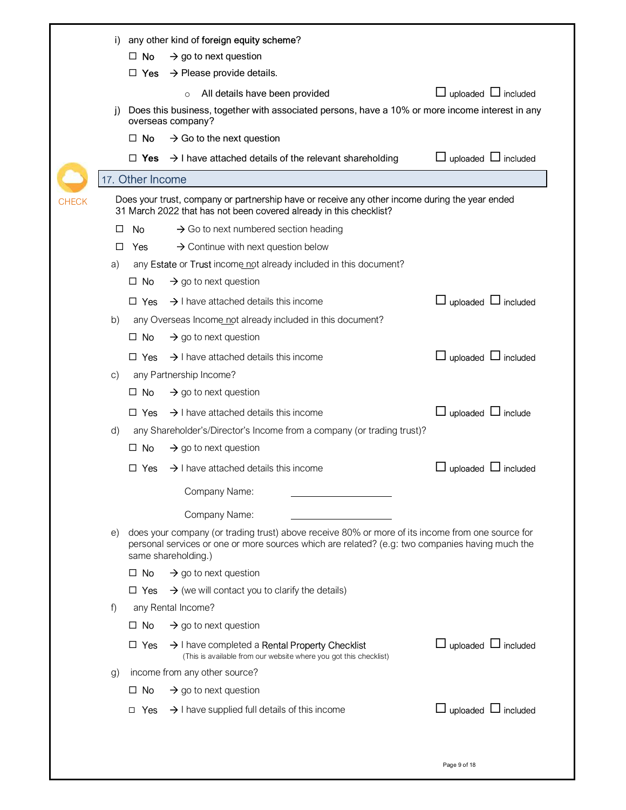|              | I)           |                  | any other kind of foreign equity scheme?                                                                                                                                                                                   |                                 |
|--------------|--------------|------------------|----------------------------------------------------------------------------------------------------------------------------------------------------------------------------------------------------------------------------|---------------------------------|
|              |              | $\Box$ No        | $\rightarrow$ go to next question                                                                                                                                                                                          |                                 |
|              |              | $\Box$ Yes       | $\rightarrow$ Please provide details.                                                                                                                                                                                      |                                 |
|              |              |                  | All details have been provided<br>$\circ$                                                                                                                                                                                  | $\Box$ uploaded $\Box$ included |
|              | $\mathbf{I}$ |                  | Does this business, together with associated persons, have a 10% or more income interest in any                                                                                                                            |                                 |
|              |              |                  | overseas company?                                                                                                                                                                                                          |                                 |
|              |              | $\Box$ No        | $\rightarrow$ Go to the next question                                                                                                                                                                                      |                                 |
|              |              | □ Yes            | $\rightarrow$ I have attached details of the relevant shareholding                                                                                                                                                         | $\Box$ uploaded $\Box$ included |
|              |              | 17. Other Income |                                                                                                                                                                                                                            |                                 |
| <b>CHECK</b> |              |                  | Does your trust, company or partnership have or receive any other income during the year ended<br>31 March 2022 that has not been covered already in this checklist?                                                       |                                 |
|              | □            | No.              | $\rightarrow$ Go to next numbered section heading                                                                                                                                                                          |                                 |
|              | □            | Yes              | $\rightarrow$ Continue with next question below                                                                                                                                                                            |                                 |
|              | a)           |                  | any Estate or Trust income not already included in this document?                                                                                                                                                          |                                 |
|              |              | $\Box$ No        | $\rightarrow$ go to next question                                                                                                                                                                                          |                                 |
|              |              | $\Box$ Yes       | $\rightarrow$ I have attached details this income                                                                                                                                                                          | $\Box$ uploaded $\Box$ included |
|              | b)           |                  | any Overseas Income not already included in this document?                                                                                                                                                                 |                                 |
|              |              | $\Box$ No        | $\rightarrow$ go to next question                                                                                                                                                                                          |                                 |
|              |              | $\Box$ Yes       | $\rightarrow$ I have attached details this income                                                                                                                                                                          | $\Box$ uploaded $\Box$ included |
|              | C)           |                  | any Partnership Income?                                                                                                                                                                                                    |                                 |
|              |              | $\Box$ No        | $\rightarrow$ go to next question                                                                                                                                                                                          |                                 |
|              |              | $\Box$ Yes       | $\rightarrow$ I have attached details this income                                                                                                                                                                          | $\Box$ uploaded $\Box$ include  |
|              | d)           |                  | any Shareholder's/Director's Income from a company (or trading trust)?                                                                                                                                                     |                                 |
|              |              | No<br>□          | $\rightarrow$ go to next question                                                                                                                                                                                          |                                 |
|              |              | П.<br>Yes        | $\rightarrow$ I have attached details this income                                                                                                                                                                          | ∟ uploaded ∟ included           |
|              |              |                  | Company Name:                                                                                                                                                                                                              |                                 |
|              |              |                  | Company Name:                                                                                                                                                                                                              |                                 |
|              | e)           |                  | does your company (or trading trust) above receive 80% or more of its income from one source for<br>personal services or one or more sources which are related? (e.g: two companies having much the<br>same shareholding.) |                                 |
|              |              | $\Box$ No        | $\rightarrow$ go to next question                                                                                                                                                                                          |                                 |
|              |              | $\Box$ Yes       | $\rightarrow$ (we will contact you to clarify the details)                                                                                                                                                                 |                                 |
|              | f            |                  | any Rental Income?                                                                                                                                                                                                         |                                 |
|              |              | $\square$ No     | $\rightarrow$ go to next question                                                                                                                                                                                          |                                 |
|              |              | $\Box$ Yes       | $\rightarrow$ I have completed a Rental Property Checklist<br>(This is available from our website where you got this checklist)                                                                                            | $\Box$ uploaded $\Box$ included |
|              | g)           |                  | income from any other source?                                                                                                                                                                                              |                                 |
|              |              | $\Box$ No        | $\rightarrow$ go to next question                                                                                                                                                                                          |                                 |
|              |              | $\Box$ Yes       | $\rightarrow$ I have supplied full details of this income                                                                                                                                                                  | $\Box$ uploaded $\Box$ included |
|              |              |                  |                                                                                                                                                                                                                            |                                 |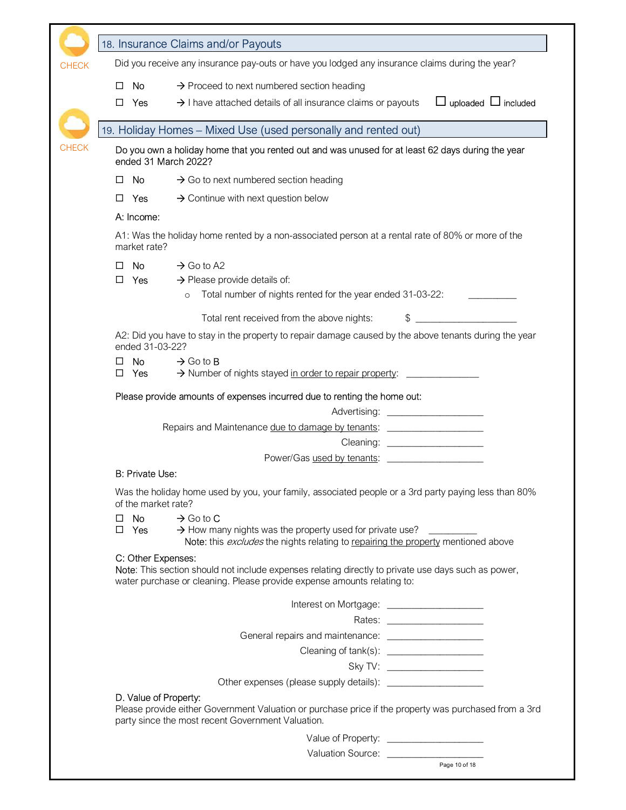|              | 18. Insurance Claims and/or Payouts                                                                                                                                                                              |
|--------------|------------------------------------------------------------------------------------------------------------------------------------------------------------------------------------------------------------------|
| <b>CHECK</b> | Did you receive any insurance pay-outs or have you lodged any insurance claims during the year?                                                                                                                  |
|              | $\rightarrow$ Proceed to next numbered section heading<br>No.<br>□                                                                                                                                               |
|              | $\rightarrow$ I have attached details of all insurance claims or payouts<br>$\Box$ uploaded $\Box$ included<br>Yes<br>$\perp$                                                                                    |
|              | 19. Holiday Homes - Mixed Use (used personally and rented out)                                                                                                                                                   |
| <b>CHECK</b> | Do you own a holiday home that you rented out and was unused for at least 62 days during the year<br>ended 31 March 2022?                                                                                        |
|              | $\rightarrow$ Go to next numbered section heading<br>No.<br>□                                                                                                                                                    |
|              | $\rightarrow$ Continue with next question below<br>□<br>Yes                                                                                                                                                      |
|              | A: Income:                                                                                                                                                                                                       |
|              | A1: Was the holiday home rented by a non-associated person at a rental rate of 80% or more of the<br>market rate?                                                                                                |
|              | $\rightarrow$ Go to A2<br>No.<br>□                                                                                                                                                                               |
|              | Yes<br>$\rightarrow$ Please provide details of:<br>□<br>Total number of nights rented for the year ended 31-03-22:<br>$\circ$                                                                                    |
|              | Total rent received from the above nights:<br>\$                                                                                                                                                                 |
|              | A2: Did you have to stay in the property to repair damage caused by the above tenants during the year<br>ended 31-03-22?                                                                                         |
|              | No.<br>$\rightarrow$ Go to <b>B</b><br>> Number of nights stayed in order to repair property:<br>Yes<br>□                                                                                                        |
|              | Please provide amounts of expenses incurred due to renting the home out:                                                                                                                                         |
|              | Repairs and Maintenance due to damage by tenants: ______________________________                                                                                                                                 |
|              |                                                                                                                                                                                                                  |
|              | Power/Gas used by tenants:                                                                                                                                                                                       |
|              | <b>B: Private Use:</b>                                                                                                                                                                                           |
|              | Was the holiday home used by you, your family, associated people or a 3rd party paying less than 80%<br>of the market rate?                                                                                      |
|              | $\square$ No<br>$\rightarrow$ Go to C<br>$\rightarrow$ How many nights was the property used for private use?<br>$\Box$ Yes<br>Note: this excludes the nights relating to repairing the property mentioned above |
|              | C: Other Expenses:<br>Note: This section should not include expenses relating directly to private use days such as power,<br>water purchase or cleaning. Please provide expense amounts relating to:             |
|              | Interest on Mortgage: ____________________                                                                                                                                                                       |
|              |                                                                                                                                                                                                                  |
|              |                                                                                                                                                                                                                  |
|              |                                                                                                                                                                                                                  |
|              |                                                                                                                                                                                                                  |
|              |                                                                                                                                                                                                                  |
|              | D. Value of Property:<br>Please provide either Government Valuation or purchase price if the property was purchased from a 3rd<br>party since the most recent Government Valuation.                              |
|              | Value of Property: ______________________                                                                                                                                                                        |
|              |                                                                                                                                                                                                                  |
|              | Page 10 of 18                                                                                                                                                                                                    |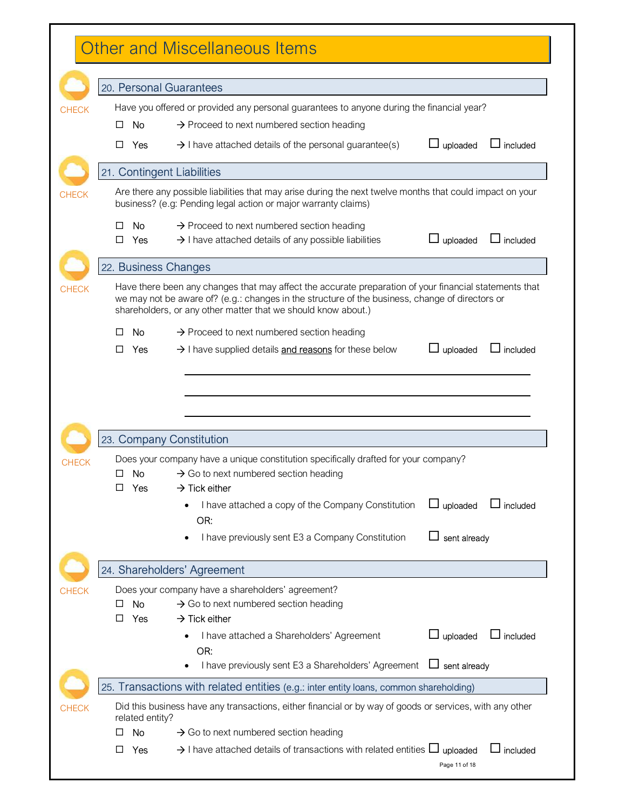| <b>Other and Miscellaneous Items</b> |                 |                                                                                                                                                                                                                                                                            |                 |                 |
|--------------------------------------|-----------------|----------------------------------------------------------------------------------------------------------------------------------------------------------------------------------------------------------------------------------------------------------------------------|-----------------|-----------------|
|                                      |                 | 20. Personal Guarantees                                                                                                                                                                                                                                                    |                 |                 |
|                                      |                 | Have you offered or provided any personal guarantees to anyone during the financial year?                                                                                                                                                                                  |                 |                 |
| □                                    | No.             | $\rightarrow$ Proceed to next numbered section heading                                                                                                                                                                                                                     |                 |                 |
|                                      |                 |                                                                                                                                                                                                                                                                            |                 |                 |
| □                                    | Yes             | $\rightarrow$ I have attached details of the personal guarantee(s)                                                                                                                                                                                                         | uploaded        | included        |
|                                      |                 | 21. Contingent Liabilities                                                                                                                                                                                                                                                 |                 |                 |
|                                      |                 | Are there any possible liabilities that may arise during the next twelve months that could impact on your<br>business? (e.g: Pending legal action or major warranty claims)                                                                                                |                 |                 |
| $\mathbf{1}$                         | No              | $\rightarrow$ Proceed to next numbered section heading                                                                                                                                                                                                                     |                 |                 |
| □                                    | Yes             | $\rightarrow$ I have attached details of any possible liabilities                                                                                                                                                                                                          | uploaded        | $\Box$ included |
|                                      |                 | 22. Business Changes                                                                                                                                                                                                                                                       |                 |                 |
|                                      |                 | Have there been any changes that may affect the accurate preparation of your financial statements that<br>we may not be aware of? (e.g.: changes in the structure of the business, change of directors or<br>shareholders, or any other matter that we should know about.) |                 |                 |
| $\mathsf{L}$                         | No              | $\rightarrow$ Proceed to next numbered section heading                                                                                                                                                                                                                     |                 |                 |
| □                                    | Yes             | $\rightarrow$ I have supplied details and reasons for these below                                                                                                                                                                                                          | J uploaded      | $\Box$ included |
|                                      |                 |                                                                                                                                                                                                                                                                            |                 |                 |
|                                      |                 | 23. Company Constitution                                                                                                                                                                                                                                                   |                 |                 |
|                                      |                 | Does your company have a unique constitution specifically drafted for your company?                                                                                                                                                                                        |                 |                 |
| □                                    | No              | $\rightarrow$ Go to next numbered section heading                                                                                                                                                                                                                          |                 |                 |
| $\Box$                               | Yes             | $\rightarrow$ Tick either                                                                                                                                                                                                                                                  |                 |                 |
|                                      |                 | I have attached a copy of the Company Constitution                                                                                                                                                                                                                         | $\Box$ uploaded |                 |
|                                      |                 | OR:                                                                                                                                                                                                                                                                        |                 |                 |
|                                      |                 | I have previously sent E3 a Company Constitution                                                                                                                                                                                                                           | sent already    | $\Box$ included |
|                                      |                 | 24. Shareholders' Agreement                                                                                                                                                                                                                                                |                 |                 |
|                                      |                 | Does your company have a shareholders' agreement?                                                                                                                                                                                                                          |                 |                 |
|                                      | No              | $\rightarrow$ Go to next numbered section heading                                                                                                                                                                                                                          |                 |                 |
| □                                    | Yes             | $\rightarrow$ Tick either                                                                                                                                                                                                                                                  |                 |                 |
|                                      |                 | I have attached a Shareholders' Agreement<br>OR:                                                                                                                                                                                                                           | uploaded        |                 |
|                                      |                 | I have previously sent E3 a Shareholders' Agreement                                                                                                                                                                                                                        | sent already    |                 |
|                                      |                 | 25. Transactions with related entities (e.g.: inter entity loans, common shareholding)                                                                                                                                                                                     |                 |                 |
|                                      | related entity? | Did this business have any transactions, either financial or by way of goods or services, with any other                                                                                                                                                                   |                 | $\Box$ included |
| ⊔                                    | <b>No</b>       | $\rightarrow$ Go to next numbered section heading                                                                                                                                                                                                                          |                 |                 |
| □                                    | Yes             | $\rightarrow$ I have attached details of transactions with related entities $\Box$ uploaded                                                                                                                                                                                | Page 11 of 18   | included        |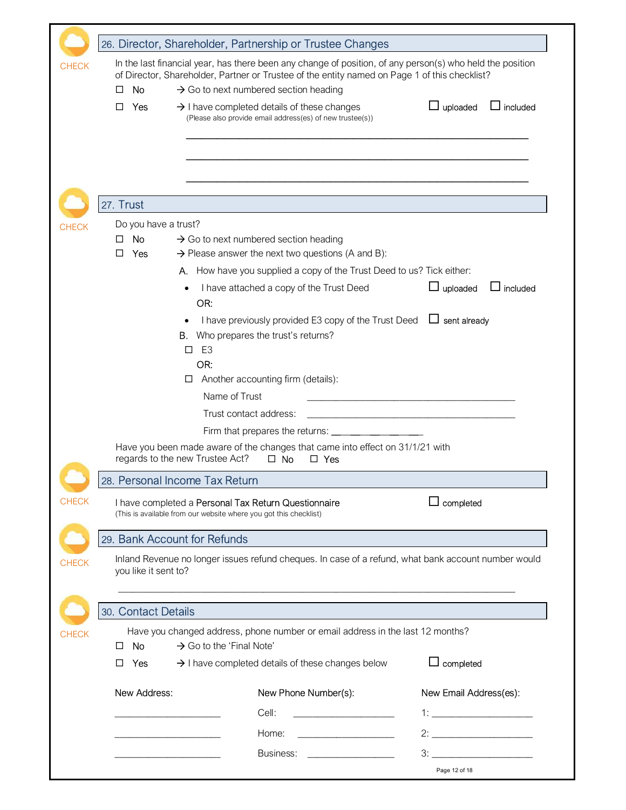|              |                                                                                                                                                                                                                                                                                  |                                                                                                                           | 26. Director, Shareholder, Partnership or Trustee Changes          |                             |  |
|--------------|----------------------------------------------------------------------------------------------------------------------------------------------------------------------------------------------------------------------------------------------------------------------------------|---------------------------------------------------------------------------------------------------------------------------|--------------------------------------------------------------------|-----------------------------|--|
| <b>CHECK</b> | In the last financial year, has there been any change of position, of any person(s) who held the position<br>of Director, Shareholder, Partner or Trustee of the entity named on Page 1 of this checklist?<br>$\rightarrow$ Go to next numbered section heading<br>No<br>$\perp$ |                                                                                                                           |                                                                    |                             |  |
|              | Yes<br>□                                                                                                                                                                                                                                                                         | $\rightarrow$ I have completed details of these changes                                                                   | (Please also provide email address(es) of new trustee(s))          | uploaded<br>$\Box$ included |  |
|              |                                                                                                                                                                                                                                                                                  |                                                                                                                           |                                                                    |                             |  |
|              | 27. Trust                                                                                                                                                                                                                                                                        |                                                                                                                           |                                                                    |                             |  |
| <b>CHECK</b> | Do you have a trust?                                                                                                                                                                                                                                                             |                                                                                                                           |                                                                    |                             |  |
|              | <b>No</b><br>□                                                                                                                                                                                                                                                                   | $\rightarrow$ Go to next numbered section heading                                                                         |                                                                    |                             |  |
|              | Yes<br>□                                                                                                                                                                                                                                                                         |                                                                                                                           | $\rightarrow$ Please answer the next two questions (A and B):      |                             |  |
|              |                                                                                                                                                                                                                                                                                  | А.                                                                                                                        | How have you supplied a copy of the Trust Deed to us? Tick either: |                             |  |
|              |                                                                                                                                                                                                                                                                                  | OR:                                                                                                                       | I have attached a copy of the Trust Deed                           | $\Box$ uploaded<br>included |  |
|              |                                                                                                                                                                                                                                                                                  | <b>B.</b> Who prepares the trust's returns?<br>E <sub>3</sub><br>$\Box$                                                   | I have previously provided E3 copy of the Trust Deed               | $\Box$ sent already         |  |
|              |                                                                                                                                                                                                                                                                                  | OR:                                                                                                                       |                                                                    |                             |  |
|              |                                                                                                                                                                                                                                                                                  | Another accounting firm (details):<br>ப                                                                                   |                                                                    |                             |  |
|              | Name of Trust                                                                                                                                                                                                                                                                    |                                                                                                                           |                                                                    |                             |  |
|              | Trust contact address:<br><u> 1989 - Johann Harry Barbara, martin d</u>                                                                                                                                                                                                          |                                                                                                                           |                                                                    |                             |  |
|              | Firm that prepares the returns: ____________<br>Have you been made aware of the changes that came into effect on 31/1/21 with                                                                                                                                                    |                                                                                                                           |                                                                    |                             |  |
|              |                                                                                                                                                                                                                                                                                  | regards to the new Trustee Act?                                                                                           | $\Box$ No<br>$\Box$ Yes                                            |                             |  |
|              |                                                                                                                                                                                                                                                                                  | 28. Personal Income Tax Return                                                                                            |                                                                    |                             |  |
| <b>CHECK</b> |                                                                                                                                                                                                                                                                                  | I have completed a Personal Tax Return Questionnaire<br>(This is available from our website where you got this checklist) |                                                                    | completed                   |  |
|              |                                                                                                                                                                                                                                                                                  | 29. Bank Account for Refunds                                                                                              |                                                                    |                             |  |
| <b>CHECK</b> | Inland Revenue no longer issues refund cheques. In case of a refund, what bank account number would<br>you like it sent to?                                                                                                                                                      |                                                                                                                           |                                                                    |                             |  |
|              | 30. Contact Details                                                                                                                                                                                                                                                              |                                                                                                                           |                                                                    |                             |  |
| <b>CHECK</b> | Have you changed address, phone number or email address in the last 12 months?<br>$\rightarrow$ Go to the 'Final Note'<br>No.<br>$\Box$                                                                                                                                          |                                                                                                                           |                                                                    |                             |  |
|              | П<br>Yes                                                                                                                                                                                                                                                                         |                                                                                                                           | $\rightarrow$ I have completed details of these changes below      | ∟ completed                 |  |
|              | New Address:                                                                                                                                                                                                                                                                     |                                                                                                                           | New Phone Number(s):                                               | New Email Address(es):      |  |
|              |                                                                                                                                                                                                                                                                                  | Cell:                                                                                                                     | <u> 1980 - Johann Marie Barn, mars et al.</u>                      |                             |  |
|              |                                                                                                                                                                                                                                                                                  |                                                                                                                           | Home:                                                              |                             |  |
|              |                                                                                                                                                                                                                                                                                  |                                                                                                                           | Business:                                                          | 3:                          |  |
|              |                                                                                                                                                                                                                                                                                  |                                                                                                                           |                                                                    | Page 12 of 18               |  |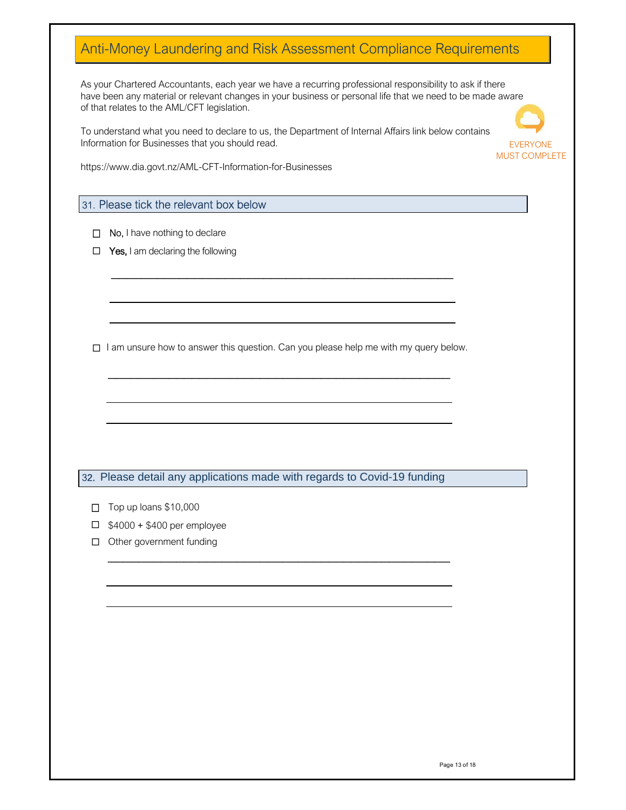### Anti-Money Laundering and Risk Assessment Compliance Requirements

As your Chartered Accountants, each year we have a recurring professional responsibility to ask if there have been any material or relevant changes in your business or personal life that we need to be made aware of that relates to the AML/CFT legislation.

To understand what you need to declare to us, the Department of Internal Affairs link below contains Information for Businesses that you should read.



https://www.dia.govt.nz/AML-CFT-Information-for-Businesses

#### 31. Please tick the relevant box below

- $\Box$  No, I have nothing to declare
- $\Box$  Yes, I am declaring the following

 $\Box$  I am unsure how to answer this question. Can you please help me with my query below.

\_\_\_\_\_\_\_\_\_\_\_\_\_\_\_\_\_\_\_\_\_\_\_\_\_\_\_\_\_\_\_\_\_\_\_\_\_\_\_\_\_\_\_\_\_

\_\_\_\_\_\_\_\_\_\_\_\_\_\_\_\_\_\_\_\_\_\_\_\_\_\_\_\_\_\_\_\_\_\_\_\_\_\_\_\_\_\_\_\_\_

32. Please detail any applications made with regards to Covid-19 funding

\_\_\_\_\_\_\_\_\_\_\_\_\_\_\_\_\_\_\_\_\_\_\_\_\_\_\_\_\_\_\_\_\_\_\_\_\_\_\_\_\_\_\_\_\_

 $\Box$  Top up loans \$10,000

 $\overline{a}$ 

- $\Box$  \$4000 + \$400 per employee
- Other government funding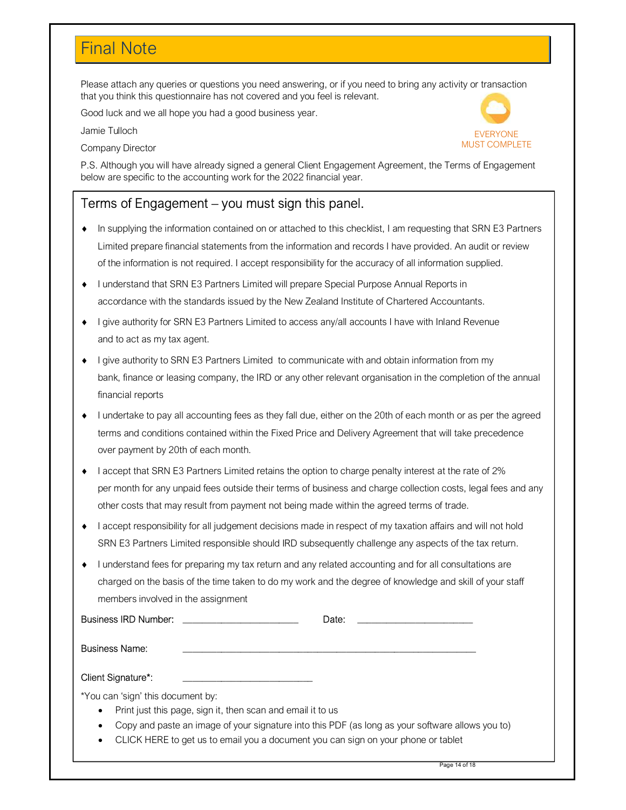## Final Note

Please attach any queries or questions you need answering, or if you need to bring any activity or transaction that you think this questionnaire has not covered and you feel is relevant.

Good luck and we all hope you had a good business year.

Jamie Tulloch

Company Director



P.S. Although you will have already signed a general Client Engagement Agreement, the Terms of Engagement below are specific to the accounting work for the 2022 financial year.

### Terms of Engagement – you must sign this panel.

- ♦ In supplying the information contained on or attached to this checklist, I am requesting that SRN E3 Partners Limited prepare financial statements from the information and records I have provided. An audit or review of the information is not required. I accept responsibility for the accuracy of all information supplied.
- accordance with the standards issued by the New Zealand Institute of Chartered Accountants. ♦ I understand that SRN E3 Partners Limited will prepare Special Purpose Annual Reports in
- and to act as my tax agent. ♦ I give authority for SRN E3 Partners Limited to access any/all accounts I have with Inland Revenue
- financial reports ♦ I give authority to SRN E3 Partners Limited to communicate with and obtain information from my bank, finance or leasing company, the IRD or any other relevant organisation in the completion of the annual
- ♦ I undertake to pay all accounting fees as they fall due, either on the 20th of each month or as per the agreed terms and conditions contained within the Fixed Price and Delivery Agreement that will take precedence over payment by 20th of each month.
- other costs that may result from payment not being made within the agreed terms of trade. ♦ I accept that SRN E3 Partners Limited retains the option to charge penalty interest at the rate of 2% per month for any unpaid fees outside their terms of business and charge collection costs, legal fees and any
- ♦ I accept responsibility for all judgement decisions made in respect of my taxation affairs and will not hold SRN E3 Partners Limited responsible should IRD subsequently challenge any aspects of the tax return.
- I understand fees for preparing my tax return and any related accounting and for all consultations are charged on the basis of the time taken to do my work and the degree of knowledge and skill of your staff members involved in the assignment

| <b>Business IRD Number:</b>       |                                                             | Date:                                                                                            |  |
|-----------------------------------|-------------------------------------------------------------|--------------------------------------------------------------------------------------------------|--|
| <b>Business Name:</b>             |                                                             |                                                                                                  |  |
| Client Signature*:                |                                                             |                                                                                                  |  |
| *You can 'sign' this document by: |                                                             |                                                                                                  |  |
| ٠                                 | Print just this page, sign it, then scan and email it to us |                                                                                                  |  |
| ٠                                 |                                                             | Copy and paste an image of your signature into this PDF (as long as your software allows you to) |  |
| $\bullet$                         |                                                             | CLICK HERE to get us to email you a document you can sign on your phone or tablet                |  |
|                                   |                                                             |                                                                                                  |  |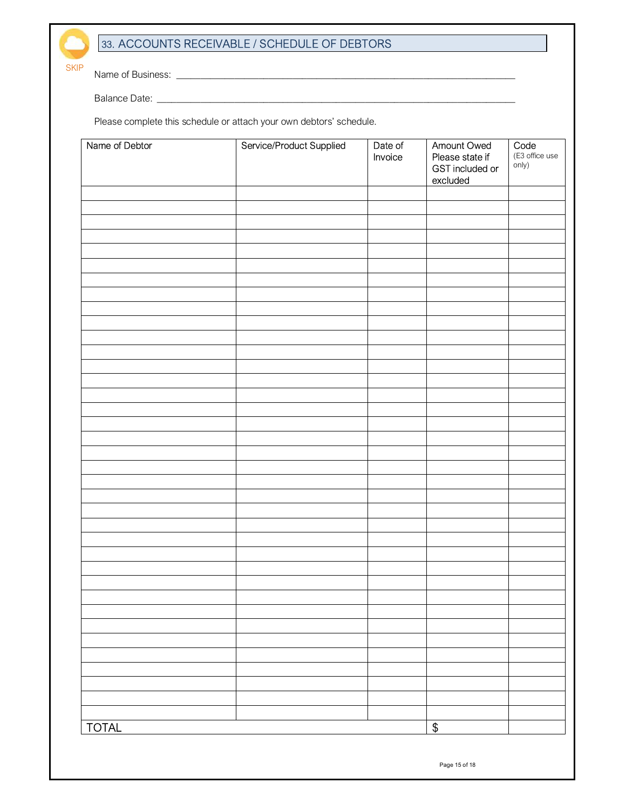#### 33. ACCOUNTS RECEIVABLE / SCHEDULE OF DEBTORS

Name of Business: \_\_\_\_\_\_\_\_\_\_\_\_\_\_\_\_\_\_\_\_\_\_\_\_\_\_\_\_\_\_\_\_\_\_\_\_\_\_\_\_\_\_\_\_\_\_\_\_\_\_\_\_\_\_\_\_\_\_\_\_\_\_\_\_\_\_\_\_\_\_

Balance Date: \_\_\_\_\_\_\_\_\_\_\_\_\_\_\_\_\_\_\_\_\_\_\_\_\_\_\_\_\_\_\_\_\_\_\_\_\_\_\_\_\_\_\_\_\_\_\_\_\_\_\_\_\_\_\_\_\_\_\_\_\_\_\_\_\_\_\_\_\_\_\_\_\_\_

SKIP

Please complete this schedule or attach your own debtors' schedule.

| Name of Debtor | Service/Product Supplied | Date of<br>Invoice | Amount Owed<br>Please state if<br>GST included or<br>excluded | Code<br>(E3 office use<br>only) |
|----------------|--------------------------|--------------------|---------------------------------------------------------------|---------------------------------|
|                |                          |                    |                                                               |                                 |
|                |                          |                    |                                                               |                                 |
|                |                          |                    |                                                               |                                 |
|                |                          |                    |                                                               |                                 |
|                |                          |                    |                                                               |                                 |
|                |                          |                    |                                                               |                                 |
|                |                          |                    |                                                               |                                 |
|                |                          |                    |                                                               |                                 |
|                |                          |                    |                                                               |                                 |
|                |                          |                    |                                                               |                                 |
|                |                          |                    |                                                               |                                 |
|                |                          |                    |                                                               |                                 |
|                |                          |                    |                                                               |                                 |
|                |                          |                    |                                                               |                                 |
|                |                          |                    |                                                               |                                 |
|                |                          |                    |                                                               |                                 |
|                |                          |                    |                                                               |                                 |
|                |                          |                    |                                                               |                                 |
|                |                          |                    |                                                               |                                 |
|                |                          |                    |                                                               |                                 |
|                |                          |                    |                                                               |                                 |
|                |                          |                    |                                                               |                                 |
|                |                          |                    |                                                               |                                 |
|                |                          |                    |                                                               |                                 |
|                |                          |                    |                                                               |                                 |
|                |                          |                    |                                                               |                                 |
|                |                          |                    |                                                               |                                 |
|                |                          |                    |                                                               |                                 |
|                |                          |                    |                                                               |                                 |
|                |                          |                    |                                                               |                                 |
|                |                          |                    |                                                               |                                 |
|                |                          |                    |                                                               |                                 |
| <b>TOTAL</b>   |                          |                    | $\boldsymbol{\theta}$                                         |                                 |

Page 15 of 18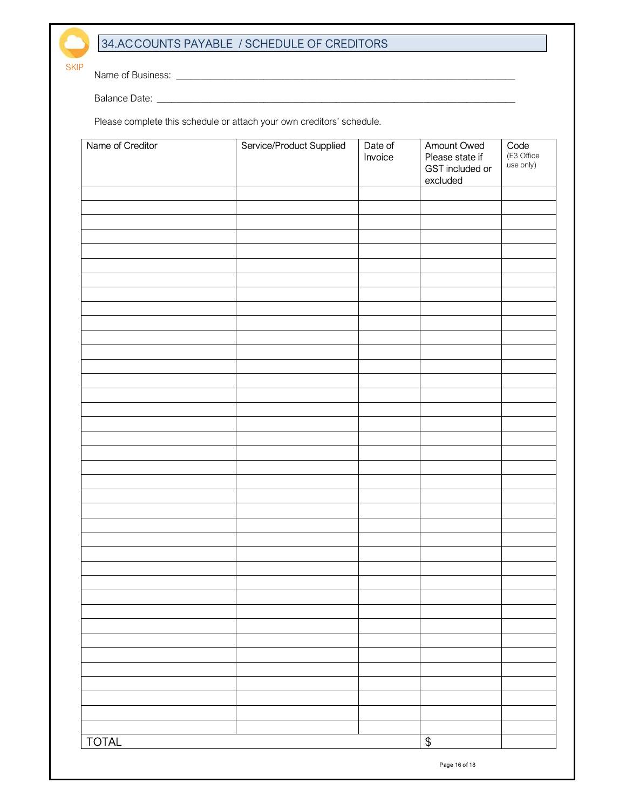#### 34.ACCOUNTS PAYABLE / SCHEDULE OF CREDITORS

Name of Business: \_\_\_\_\_\_\_\_\_\_\_\_\_\_\_\_\_\_\_\_\_\_\_\_\_\_\_\_\_\_\_\_\_\_\_\_\_\_\_\_\_\_\_\_\_\_\_\_\_\_\_\_\_\_\_\_\_\_\_\_\_\_\_\_\_\_\_\_\_\_

Balance Date: \_\_\_\_\_\_\_\_\_\_\_\_\_\_\_\_\_\_\_\_\_\_\_\_\_\_\_\_\_\_\_\_\_\_\_\_\_\_\_\_\_\_\_\_\_\_\_\_\_\_\_\_\_\_\_\_\_\_\_\_\_\_\_\_\_\_\_\_\_\_\_\_\_\_

**SKIP** 

Please complete this schedule or attach your own creditors' schedule.

| Name of Creditor | Service/Product Supplied | Date of<br>Invoice | Amount Owed<br>Please state if<br>GST included or<br>excluded | Code<br>(E3 Office<br>use only) |
|------------------|--------------------------|--------------------|---------------------------------------------------------------|---------------------------------|
|                  |                          |                    |                                                               |                                 |
|                  |                          |                    |                                                               |                                 |
|                  |                          |                    |                                                               |                                 |
|                  |                          |                    |                                                               |                                 |
|                  |                          |                    |                                                               |                                 |
|                  |                          |                    |                                                               |                                 |
|                  |                          |                    |                                                               |                                 |
|                  |                          |                    |                                                               |                                 |
|                  |                          |                    |                                                               |                                 |
|                  |                          |                    |                                                               |                                 |
|                  |                          |                    |                                                               |                                 |
|                  |                          |                    |                                                               |                                 |
|                  |                          |                    |                                                               |                                 |
|                  |                          |                    |                                                               |                                 |
|                  |                          |                    |                                                               |                                 |
|                  |                          |                    |                                                               |                                 |
|                  |                          |                    |                                                               |                                 |
|                  |                          |                    |                                                               |                                 |
|                  |                          |                    |                                                               |                                 |
|                  |                          |                    |                                                               |                                 |
|                  |                          |                    |                                                               |                                 |
|                  |                          |                    |                                                               |                                 |
|                  |                          |                    |                                                               |                                 |
|                  |                          |                    |                                                               |                                 |
|                  |                          |                    |                                                               |                                 |
|                  |                          |                    |                                                               |                                 |
|                  |                          |                    |                                                               |                                 |
|                  |                          |                    |                                                               |                                 |
|                  |                          |                    |                                                               |                                 |
| <b>TOTAL</b>     |                          |                    | $\mathbb S$                                                   |                                 |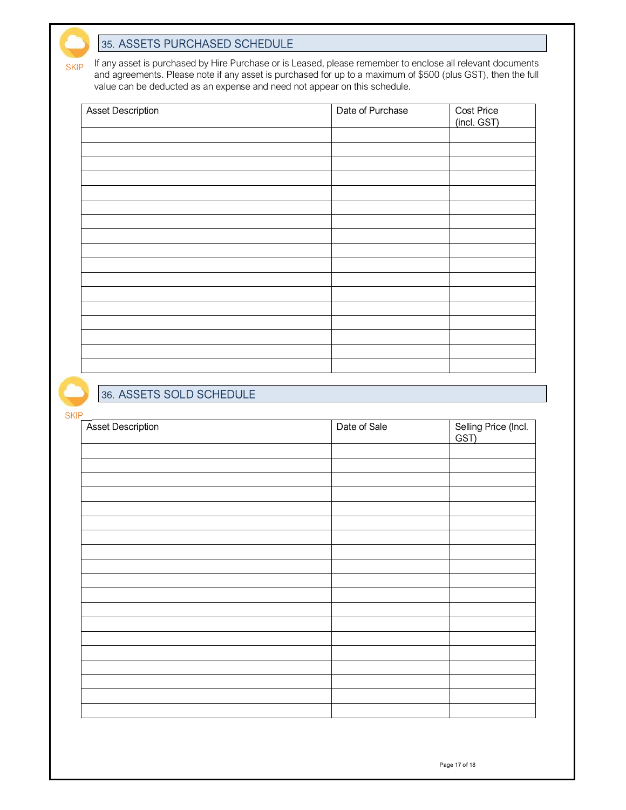#### 35. ASSETS PURCHASED SCHEDULE

If any asset is purchased by Hire Purchase or is Leased, please remember to enclose all relevant documents and agreements. Please note if any asset is purchased for up to a maximum of \$500 (plus GST), then the full value can be deducted as an expense and need not appear on this schedule. SKIP

| <b>Asset Description</b> | Date of Purchase | <b>Cost Price</b><br>(incl. GST) |
|--------------------------|------------------|----------------------------------|
|                          |                  |                                  |
|                          |                  |                                  |
|                          |                  |                                  |
|                          |                  |                                  |
|                          |                  |                                  |
|                          |                  |                                  |
|                          |                  |                                  |
|                          |                  |                                  |
|                          |                  |                                  |
|                          |                  |                                  |
|                          |                  |                                  |
|                          |                  |                                  |

#### 36. ASSETS SOLD SCHEDULE

SKIP

| <b>Asset Description</b> | Date of Sale | Selling Price (Incl.<br>GST) |
|--------------------------|--------------|------------------------------|
|                          |              |                              |
|                          |              |                              |
|                          |              |                              |
|                          |              |                              |
|                          |              |                              |
|                          |              |                              |
|                          |              |                              |
|                          |              |                              |
|                          |              |                              |
|                          |              |                              |
|                          |              |                              |
|                          |              |                              |
|                          |              |                              |
|                          |              |                              |
|                          |              |                              |
|                          |              |                              |
|                          |              |                              |
|                          |              |                              |
|                          |              |                              |